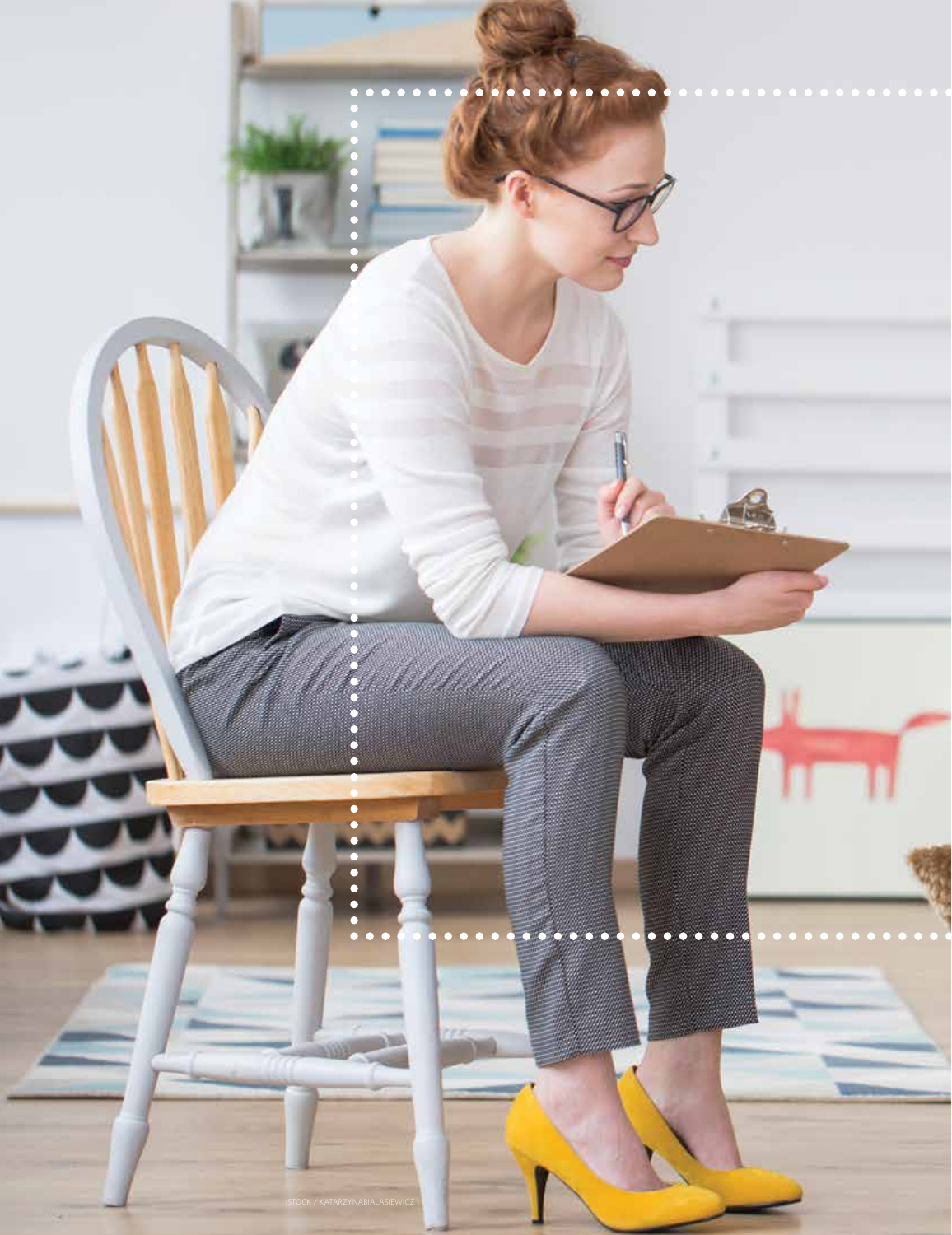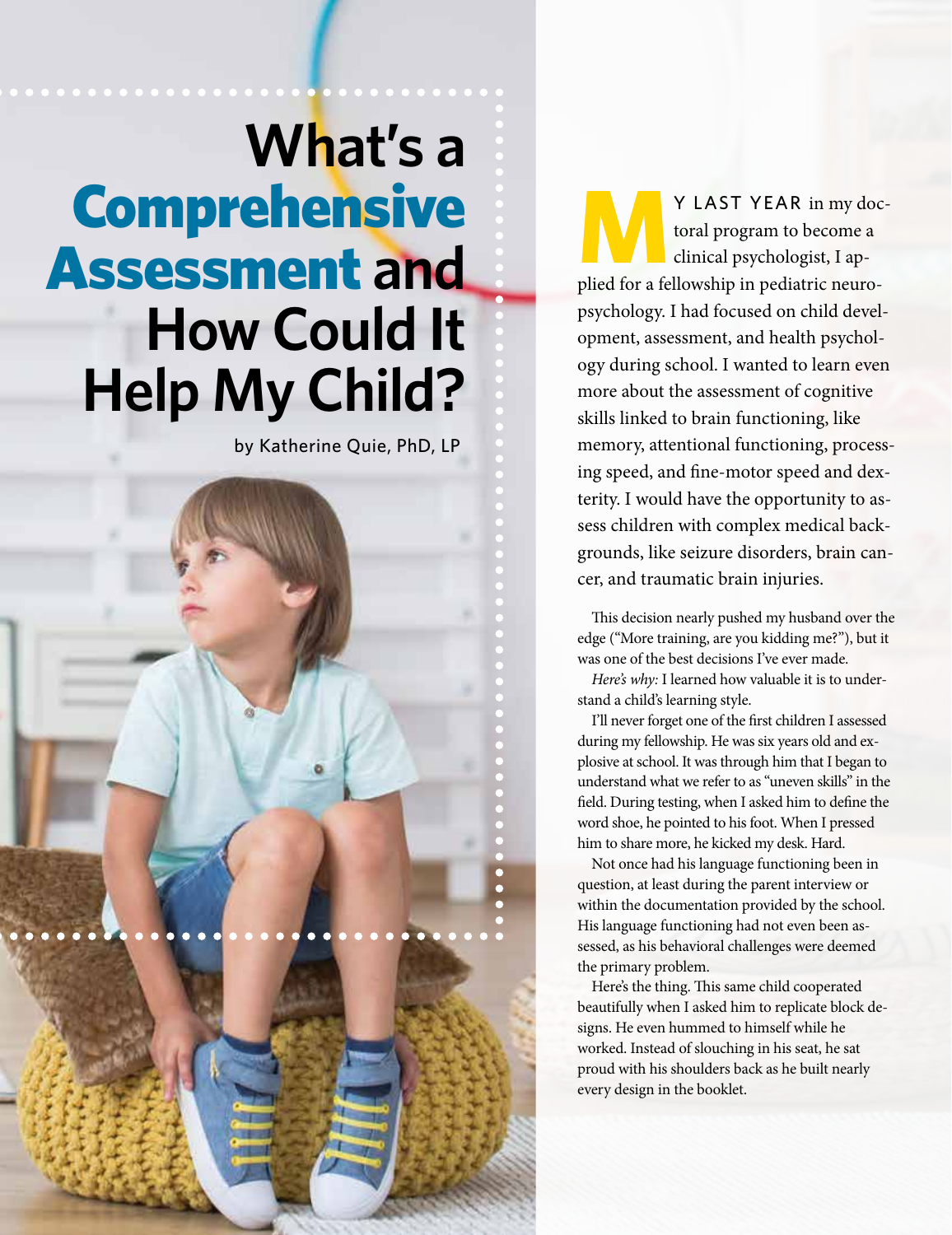# **What's a Comprehensive** Assessment **and How Could It Help My Child?**

by Katherine Quie, PhD, LP

**MAST YEAR in my doctoral program to become a clinical psychologist, I ap**toral program to become a clinical psychologist, I applied for a fellowship in pediatric neuropsychology. I had focused on child development, assessment, and health psychology during school. I wanted to learn even more about the assessment of cognitive skills linked to brain functioning, like memory, attentional functioning, processing speed, and fine-motor speed and dexterity. I would have the opportunity to assess children with complex medical backgrounds, like seizure disorders, brain cancer, and traumatic brain injuries.

This decision nearly pushed my husband over the edge ("More training, are you kidding me?"), but it was one of the best decisions I've ever made.

*Here's why:* I learned how valuable it is to understand a child's learning style.

I'll never forget one of the first children I assessed during my fellowship. He was six years old and explosive at school. It was through him that I began to understand what we refer to as "uneven skills" in the field. During testing, when I asked him to define the word shoe, he pointed to his foot. When I pressed him to share more, he kicked my desk. Hard.

Not once had his language functioning been in question, at least during the parent interview or within the documentation provided by the school. His language functioning had not even been assessed, as his behavioral challenges were deemed the primary problem.

Here's the thing. This same child cooperated beautifully when I asked him to replicate block designs. He even hummed to himself while he worked. Instead of slouching in his seat, he sat proud with his shoulders back as he built nearly every design in the booklet.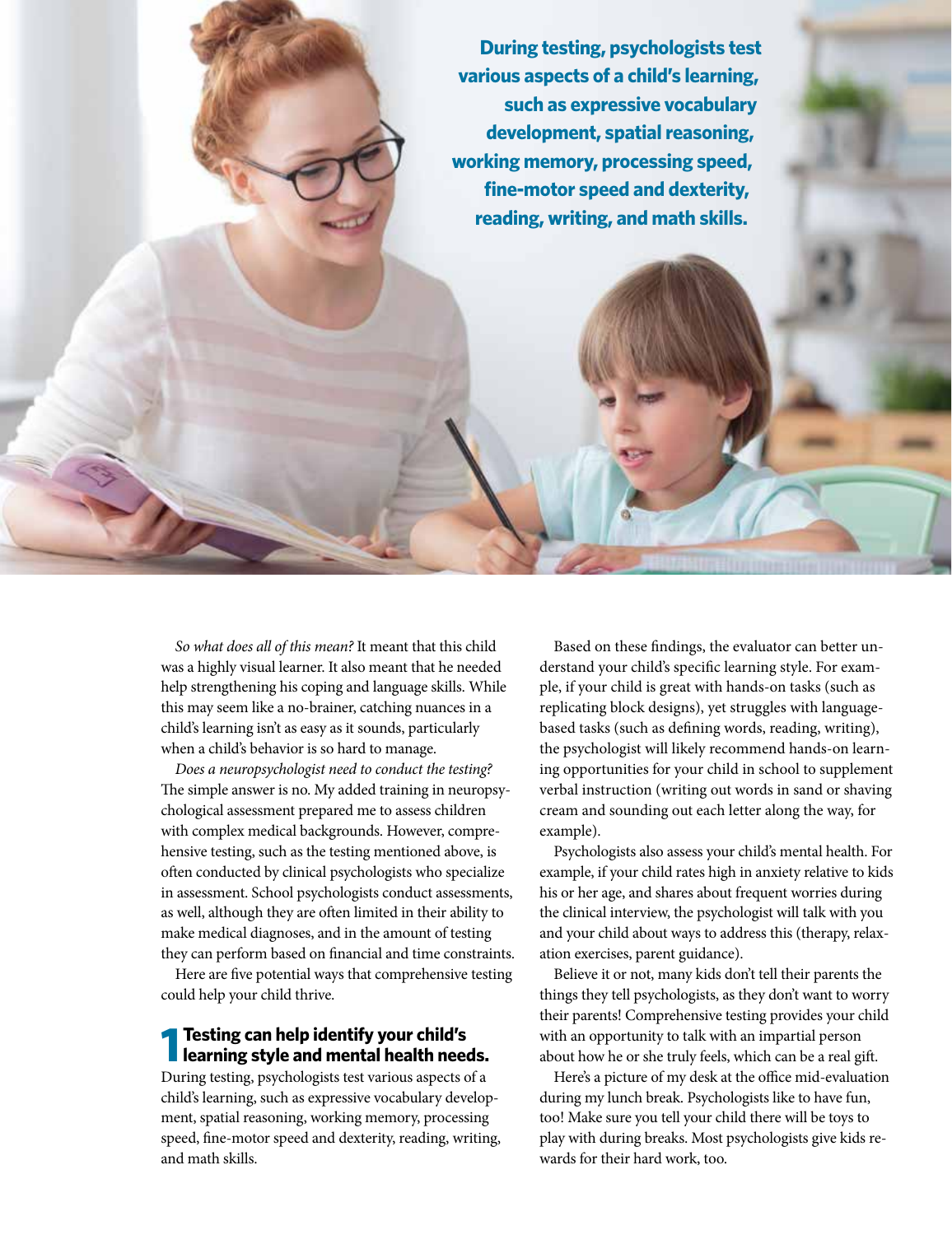**During testing, psychologists test various aspects of a child's learning, such as expressive vocabulary development, spatial reasoning, working memory, processing speed, fine-motor speed and dexterity, reading, writing, and math skills.**

*So what does all of this mean?* It meant that this child was a highly visual learner. It also meant that he needed help strengthening his coping and language skills. While this may seem like a no-brainer, catching nuances in a child's learning isn't as easy as it sounds, particularly when a child's behavior is so hard to manage.

*Does a neuropsychologist need to conduct the testing?* The simple answer is no. My added training in neuropsychological assessment prepared me to assess children with complex medical backgrounds. However, comprehensive testing, such as the testing mentioned above, is often conducted by clinical psychologists who specialize in assessment. School psychologists conduct assessments, as well, although they are often limited in their ability to make medical diagnoses, and in the amount of testing they can perform based on financial and time constraints.

Here are five potential ways that comprehensive testing could help your child thrive.

## **1Testing can help identify your child's learning style and mental health needs.**

During testing, psychologists test various aspects of a child's learning, such as expressive vocabulary development, spatial reasoning, working memory, processing speed, fine-motor speed and dexterity, reading, writing, and math skills.

Based on these findings, the evaluator can better understand your child's specific learning style. For example, if your child is great with hands-on tasks (such as replicating block designs), yet struggles with languagebased tasks (such as defining words, reading, writing), the psychologist will likely recommend hands-on learning opportunities for your child in school to supplement verbal instruction (writing out words in sand or shaving cream and sounding out each letter along the way, for example).

Psychologists also assess your child's mental health. For example, if your child rates high in anxiety relative to kids his or her age, and shares about frequent worries during the clinical interview, the psychologist will talk with you and your child about ways to address this (therapy, relaxation exercises, parent guidance).

Believe it or not, many kids don't tell their parents the things they tell psychologists, as they don't want to worry their parents! Comprehensive testing provides your child with an opportunity to talk with an impartial person about how he or she truly feels, which can be a real gift.

Here's a picture of my desk at the office mid-evaluation during my lunch break. Psychologists like to have fun, too! Make sure you tell your child there will be toys to play with during breaks. Most psychologists give kids rewards for their hard work, too.